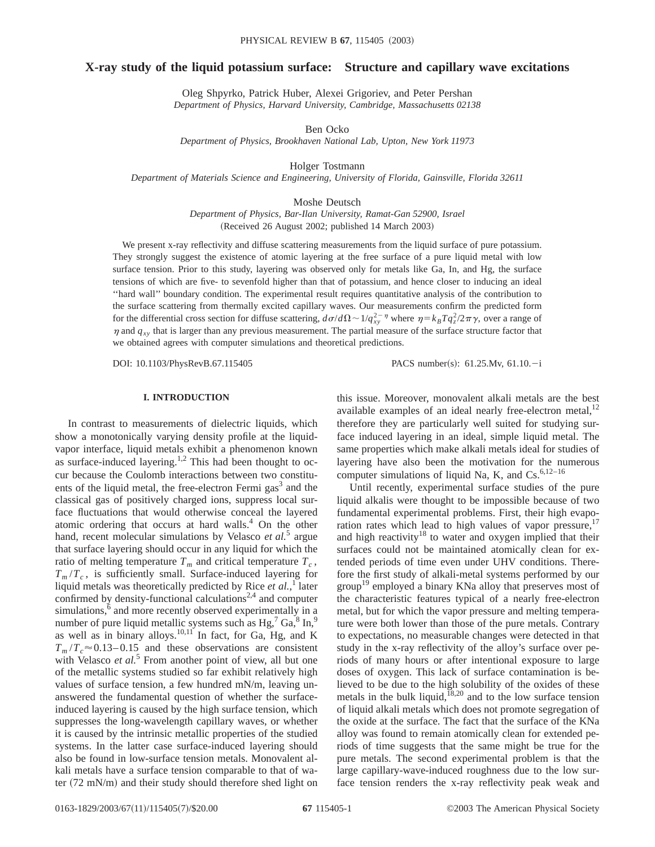# **X-ray study of the liquid potassium surface: Structure and capillary wave excitations**

Oleg Shpyrko, Patrick Huber, Alexei Grigoriev, and Peter Pershan *Department of Physics, Harvard University, Cambridge, Massachusetts 02138*

Ben Ocko

*Department of Physics, Brookhaven National Lab, Upton, New York 11973*

Holger Tostmann

*Department of Materials Science and Engineering, University of Florida, Gainsville, Florida 32611*

Moshe Deutsch

*Department of Physics, Bar-Ilan University, Ramat-Gan 52900, Israel* (Received 26 August 2002; published 14 March 2003)

We present x-ray reflectivity and diffuse scattering measurements from the liquid surface of pure potassium. They strongly suggest the existence of atomic layering at the free surface of a pure liquid metal with low surface tension. Prior to this study, layering was observed only for metals like Ga, In, and Hg, the surface tensions of which are five- to sevenfold higher than that of potassium, and hence closer to inducing an ideal ''hard wall'' boundary condition. The experimental result requires quantitative analysis of the contribution to the surface scattering from thermally excited capillary waves. Our measurements confirm the predicted form for the differential cross section for diffuse scattering,  $d\sigma/d\Omega \sim 1/q_{xy}^{2-\eta}$  where  $\eta = k_B T q_z^2/2\pi \gamma$ , over a range of  $\eta$  and  $q_{xy}$  that is larger than any previous measurement. The partial measure of the surface structure factor that we obtained agrees with computer simulations and theoretical predictions.

DOI: 10.1103/PhysRevB.67.115405 PACS number(s): 61.25.Mv, 61.10.-i

## **I. INTRODUCTION**

In contrast to measurements of dielectric liquids, which show a monotonically varying density profile at the liquidvapor interface, liquid metals exhibit a phenomenon known as surface-induced layering.<sup>1,2</sup> This had been thought to occur because the Coulomb interactions between two constituents of the liquid metal, the free-electron Fermi  $gas<sup>3</sup>$  and the classical gas of positively charged ions, suppress local surface fluctuations that would otherwise conceal the layered atomic ordering that occurs at hard walls.<sup>4</sup> On the other hand, recent molecular simulations by Velasco *et al.*<sup>5</sup> argue that surface layering should occur in any liquid for which the ratio of melting temperature  $T_m$  and critical temperature  $T_c$ ,  $T_m/T_c$ , is sufficiently small. Surface-induced layering for liquid metals was theoretically predicted by Rice *et al.*,<sup>1</sup> later confirmed by density-functional calculations<sup>2,4</sup> and computer simulations,<sup>6</sup> and more recently observed experimentally in a number of pure liquid metallic systems such as  $Hg<sup>7</sup> Ga<sup>8</sup> In<sup>9</sup>$ as well as in binary alloys.<sup>10,11</sup> In fact, for Ga, Hg, and K  $T_m/T_c \approx 0.13-0.15$  and these observations are consistent with Velasco *et al.*<sup>5</sup> From another point of view, all but one of the metallic systems studied so far exhibit relatively high values of surface tension, a few hundred mN/m, leaving unanswered the fundamental question of whether the surfaceinduced layering is caused by the high surface tension, which suppresses the long-wavelength capillary waves, or whether it is caused by the intrinsic metallic properties of the studied systems. In the latter case surface-induced layering should also be found in low-surface tension metals. Monovalent alkali metals have a surface tension comparable to that of water  $(72 \text{ mN/m})$  and their study should therefore shed light on

this issue. Moreover, monovalent alkali metals are the best available examples of an ideal nearly free-electron metal,<sup>12</sup> therefore they are particularly well suited for studying surface induced layering in an ideal, simple liquid metal. The same properties which make alkali metals ideal for studies of layering have also been the motivation for the numerous computer simulations of liquid Na, K, and  $Cs^{6,12-16}$ 

Until recently, experimental surface studies of the pure liquid alkalis were thought to be impossible because of two fundamental experimental problems. First, their high evaporation rates which lead to high values of vapor pressure,<sup>17</sup> and high reactivity $18$  to water and oxygen implied that their surfaces could not be maintained atomically clean for extended periods of time even under UHV conditions. Therefore the first study of alkali-metal systems performed by our group<sup>19</sup> employed a binary KNa alloy that preserves most of the characteristic features typical of a nearly free-electron metal, but for which the vapor pressure and melting temperature were both lower than those of the pure metals. Contrary to expectations, no measurable changes were detected in that study in the x-ray reflectivity of the alloy's surface over periods of many hours or after intentional exposure to large doses of oxygen. This lack of surface contamination is believed to be due to the high solubility of the oxides of these metals in the bulk liquid,<sup> $18,20$ </sup> and to the low surface tension of liquid alkali metals which does not promote segregation of the oxide at the surface. The fact that the surface of the KNa alloy was found to remain atomically clean for extended periods of time suggests that the same might be true for the pure metals. The second experimental problem is that the large capillary-wave-induced roughness due to the low surface tension renders the x-ray reflectivity peak weak and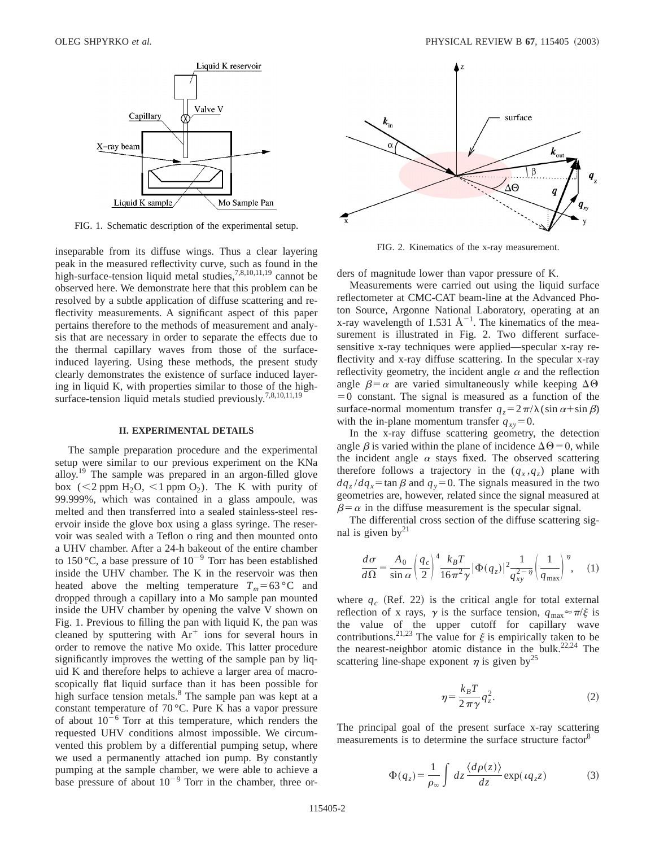

FIG. 1. Schematic description of the experimental setup.

inseparable from its diffuse wings. Thus a clear layering peak in the measured reflectivity curve, such as found in the high-surface-tension liquid metal studies,<sup>7,8,10,11,19</sup> cannot be observed here. We demonstrate here that this problem can be resolved by a subtle application of diffuse scattering and reflectivity measurements. A significant aspect of this paper pertains therefore to the methods of measurement and analysis that are necessary in order to separate the effects due to the thermal capillary waves from those of the surfaceinduced layering. Using these methods, the present study clearly demonstrates the existence of surface induced layering in liquid K, with properties similar to those of the highsurface-tension liquid metals studied previously.<sup>7,8,10,11,19</sup>

#### **II. EXPERIMENTAL DETAILS**

The sample preparation procedure and the experimental setup were similar to our previous experiment on the KNa alloy.<sup>19</sup> The sample was prepared in an argon-filled glove box ( $\lt 2$  ppm H<sub>2</sub>O,  $\lt 1$  ppm O<sub>2</sub>). The K with purity of 99.999%, which was contained in a glass ampoule, was melted and then transferred into a sealed stainless-steel reservoir inside the glove box using a glass syringe. The reservoir was sealed with a Teflon o ring and then mounted onto a UHV chamber. After a 24-h bakeout of the entire chamber to 150 °C, a base pressure of  $10^{-9}$  Torr has been established inside the UHV chamber. The K in the reservoir was then heated above the melting temperature  $T_m$ =63 °C and dropped through a capillary into a Mo sample pan mounted inside the UHV chamber by opening the valve V shown on Fig. 1. Previous to filling the pan with liquid K, the pan was cleaned by sputtering with  $Ar^+$  ions for several hours in order to remove the native Mo oxide. This latter procedure significantly improves the wetting of the sample pan by liquid K and therefore helps to achieve a larger area of macroscopically flat liquid surface than it has been possible for high surface tension metals. $8$  The sample pan was kept at a constant temperature of 70 °C. Pure K has a vapor pressure of about  $10^{-6}$  Torr at this temperature, which renders the requested UHV conditions almost impossible. We circumvented this problem by a differential pumping setup, where we used a permanently attached ion pump. By constantly pumping at the sample chamber, we were able to achieve a base pressure of about  $10^{-9}$  Torr in the chamber, three or-



FIG. 2. Kinematics of the x-ray measurement.

ders of magnitude lower than vapor pressure of K.

Measurements were carried out using the liquid surface reflectometer at CMC-CAT beam-line at the Advanced Photon Source, Argonne National Laboratory, operating at an x-ray wavelength of 1.531  $\AA^{-1}$ . The kinematics of the measurement is illustrated in Fig. 2. Two different surfacesensitive x-ray techniques were applied—specular x-ray reflectivity and x-ray diffuse scattering. In the specular x-ray reflectivity geometry, the incident angle  $\alpha$  and the reflection angle  $\beta = \alpha$  are varied simultaneously while keeping  $\Delta \Theta$  $=0$  constant. The signal is measured as a function of the surface-normal momentum transfer  $q_z = 2\pi/\lambda(\sin \alpha + \sin \beta)$ with the in-plane momentum transfer  $q_{xy}=0$ .

In the x-ray diffuse scattering geometry, the detection angle  $\beta$  is varied within the plane of incidence  $\Delta\Theta=0$ , while the incident angle  $\alpha$  stays fixed. The observed scattering therefore follows a trajectory in the  $(q_x, q_z)$  plane with  $dq_z/dq_x = \tan \beta$  and  $q_y = 0$ . The signals measured in the two geometries are, however, related since the signal measured at  $\beta = \alpha$  in the diffuse measurement is the specular signal.

The differential cross section of the diffuse scattering signal is given  $by^{21}$ 

$$
\frac{d\sigma}{d\Omega} = \frac{A_0}{\sin\alpha} \left(\frac{q_c}{2}\right)^4 \frac{k_B T}{16\pi^2 \gamma} |\Phi(q_z)|^2 \frac{1}{q_{xy}^{2-\eta}} \left(\frac{1}{q_{\text{max}}}\right)^{\eta}, \quad (1)
$$

where  $q_c$  (Ref. 22) is the critical angle for total external reflection of x rays,  $\gamma$  is the surface tension,  $q_{\text{max}} \approx \pi/\xi$  is the value of the upper cutoff for capillary wave contributions.<sup>21,23</sup> The value for  $\xi$  is empirically taken to be the nearest-neighbor atomic distance in the bulk.<sup>22,24</sup> The scattering line-shape exponent  $\eta$  is given by<sup>25</sup>

$$
\eta = \frac{k_B T}{2\pi \gamma} q_z^2. \tag{2}
$$

The principal goal of the present surface x-ray scattering measurements is to determine the surface structure factor<sup>8</sup>

$$
\Phi(q_z) = \frac{1}{\rho_{\infty}} \int dz \frac{\langle d\rho(z) \rangle}{dz} \exp(iq_z z) \tag{3}
$$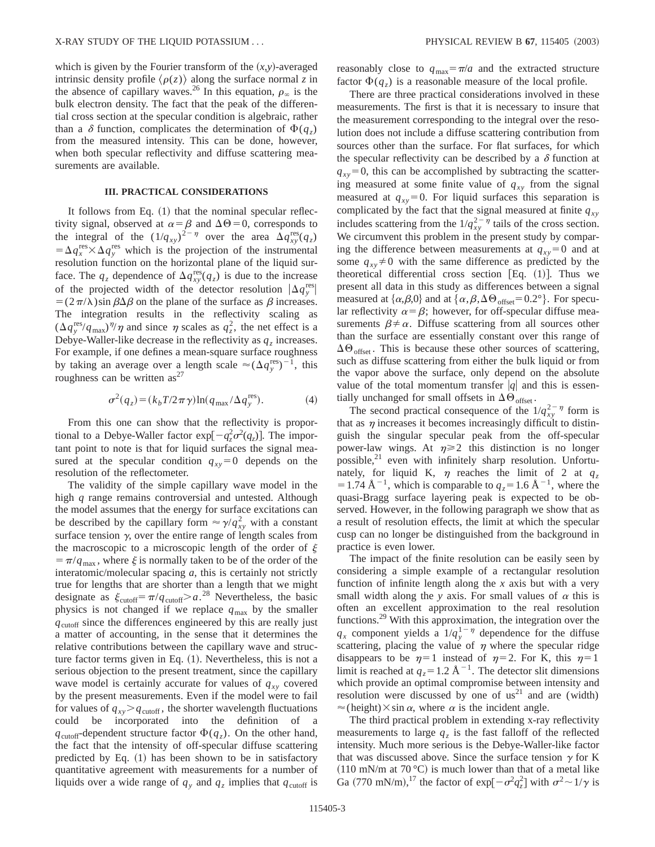which is given by the Fourier transform of the  $(x, y)$ -averaged intrinsic density profile  $\langle \rho(z) \rangle$  along the surface normal *z* in the absence of capillary waves.<sup>26</sup> In this equation,  $\rho_{\infty}$  is the bulk electron density. The fact that the peak of the differential cross section at the specular condition is algebraic, rather than a  $\delta$  function, complicates the determination of  $\Phi(q_z)$ from the measured intensity. This can be done, however, when both specular reflectivity and diffuse scattering measurements are available.

### **III. PRACTICAL CONSIDERATIONS**

It follows from Eq.  $(1)$  that the nominal specular reflectivity signal, observed at  $\alpha = \beta$  and  $\Delta\Theta = 0$ , corresponds to the integral of the  $(1/q_{xy})^{2-\eta}$  over the area  $\Delta q_{xy}^{\text{res}}(q_z)$  $= \Delta q_x^{\text{res}} \times \Delta q_y^{\text{res}}$  which is the projection of the instrumental resolution function on the horizontal plane of the liquid surface. The  $q_z$  dependence of  $\Delta q_{xy}^{\text{res}}(q_z)$  is due to the increase of the projected width of the detector resolution  $|\Delta q_y^{\text{res}}|$  $=$   $(2\pi/\lambda)$ sin  $\beta\Delta\beta$  on the plane of the surface as  $\beta$  increases. The integration results in the reflectivity scaling as  $(\Delta q_y^{\text{res}}/q_{\text{max}})^{\eta/\eta}$  and since  $\eta$  scales as  $q_z^2$ , the net effect is a Debye-Waller-like decrease in the reflectivity as  $q_z$  increases. For example, if one defines a mean-square surface roughness by taking an average over a length scale  $\approx (\Delta q_y^{\text{res}})^{-1}$ , this roughness can be written  $as^{27}$ 

$$
\sigma^2(q_z) = (k_b T / 2\pi \gamma) \ln(q_{\text{max}} / \Delta q_y^{\text{res}}). \tag{4}
$$

From this one can show that the reflectivity is proportional to a Debye-Waller factor  $\exp[-q_z^2 \sigma^2(q_z)]$ . The important point to note is that for liquid surfaces the signal measured at the specular condition  $q_{xy}=0$  depends on the resolution of the reflectometer.

The validity of the simple capillary wave model in the high *q* range remains controversial and untested. Although the model assumes that the energy for surface excitations can be described by the capillary form  $\approx \gamma / q_{xy}^2$  with a constant surface tension  $\gamma$ , over the entire range of length scales from the macroscopic to a microscopic length of the order of  $\xi$  $= \pi/q_{\text{max}}$ , where  $\xi$  is normally taken to be of the order of the interatomic/molecular spacing *a*, this is certainly not strictly true for lengths that are shorter than a length that we might designate as  $\xi_{\text{cutoff}} = \pi/q_{\text{cutoff}} > a^{28}$  Nevertheless, the basic physics is not changed if we replace  $q_{\text{max}}$  by the smaller  $q<sub>cutoff</sub>$  since the differences engineered by this are really just a matter of accounting, in the sense that it determines the relative contributions between the capillary wave and structure factor terms given in Eq.  $(1)$ . Nevertheless, this is not a serious objection to the present treatment, since the capillary wave model is certainly accurate for values of  $q_{xy}$  covered by the present measurements. Even if the model were to fail for values of  $q_{xy}$   $>$   $q_{\text{cutoff}}$ , the shorter wavelength fluctuations could be incorporated into the definition of a  $q_{\text{cutoff}}$ -dependent structure factor  $\Phi(q_z)$ . On the other hand, the fact that the intensity of off-specular diffuse scattering predicted by Eq.  $(1)$  has been shown to be in satisfactory quantitative agreement with measurements for a number of liquids over a wide range of  $q_y$  and  $q_z$  implies that  $q_{\text{cutoff}}$  is reasonably close to  $q_{\text{max}} = \pi/a$  and the extracted structure factor  $\Phi(q_z)$  is a reasonable measure of the local profile.

There are three practical considerations involved in these measurements. The first is that it is necessary to insure that the measurement corresponding to the integral over the resolution does not include a diffuse scattering contribution from sources other than the surface. For flat surfaces, for which the specular reflectivity can be described by a  $\delta$  function at  $q_{xy}$ =0, this can be accomplished by subtracting the scattering measured at some finite value of  $q_{xy}$  from the signal measured at  $q_{xy}=0$ . For liquid surfaces this separation is complicated by the fact that the signal measured at finite  $q_{xy}$ includes scattering from the  $1/q_{xy}^{2-\eta}$  tails of the cross section. We circumvent this problem in the present study by comparing the difference between measurements at  $q_{xy}=0$  and at some  $q_{xy} \neq 0$  with the same difference as predicted by the theoretical differential cross section [Eq.  $(1)$ ]. Thus we present all data in this study as differences between a signal measured at  $\{\alpha,\beta,0\}$  and at  $\{\alpha,\beta,\Delta\Theta_{\text{offset}}=0.2^{\circ}\}\$ . For specular reflectivity  $\alpha = \beta$ ; however, for off-specular diffuse measurements  $\beta \neq \alpha$ . Diffuse scattering from all sources other than the surface are essentially constant over this range of  $\Delta\Theta_{\text{offset}}$ . This is because these other sources of scattering, such as diffuse scattering from either the bulk liquid or from the vapor above the surface, only depend on the absolute value of the total momentum transfer  $|q|$  and this is essentially unchanged for small offsets in  $\Delta\Theta_{\text{offset}}$ .

The second practical consequence of the  $1/q_{xy}^{2-\eta}$  form is that as  $\eta$  increases it becomes increasingly difficult to distinguish the singular specular peak from the off-specular power-law wings. At  $\eta \geq 2$  this distinction is no longer possible, $21$  even with infinitely sharp resolution. Unfortunately, for liquid K,  $\eta$  reaches the limit of 2 at  $q_z$ = 1.74 Å<sup>-1</sup>, which is comparable to  $q_z$ = 1.6 Å<sup>-1</sup>, where the quasi-Bragg surface layering peak is expected to be observed. However, in the following paragraph we show that as a result of resolution effects, the limit at which the specular cusp can no longer be distinguished from the background in practice is even lower.

The impact of the finite resolution can be easily seen by considering a simple example of a rectangular resolution function of infinite length along the *x* axis but with a very small width along the *y* axis. For small values of  $\alpha$  this is often an excellent approximation to the real resolution functions.29 With this approximation, the integration over the  $q_x$  component yields a  $1/q_y^{1-\eta}$  dependence for the diffuse scattering, placing the value of  $\eta$  where the specular ridge disappears to be  $\eta=1$  instead of  $\eta=2$ . For K, this  $\eta=1$ limit is reached at  $q_z = 1.2 \text{ Å}^{-1}$ . The detector slit dimensions which provide an optimal compromise between intensity and resolution were discussed by one of  $us^{21}$  and are (width)  $\approx$ (height) $\times$ sin  $\alpha$ , where  $\alpha$  is the incident angle.

The third practical problem in extending x-ray reflectivity measurements to large  $q<sub>z</sub>$  is the fast falloff of the reflected intensity. Much more serious is the Debye-Waller-like factor that was discussed above. Since the surface tension  $\gamma$  for K  $(110 \text{ mN/m at } 70 \degree C)$  is much lower than that of a metal like Ga (770 mN/m),<sup>17</sup> the factor of  $\exp[-\sigma^2 q_z^2]$  with  $\sigma^2 \sim 1/\gamma$  is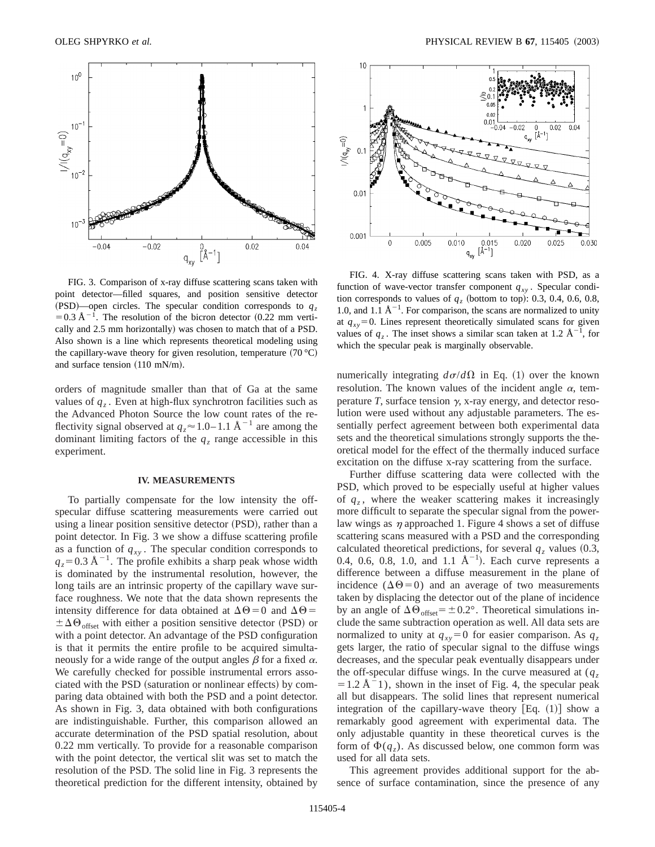

FIG. 3. Comparison of x-ray diffuse scattering scans taken with point detector—filled squares, and position sensitive detector  $(PSD)$ —open circles. The specular condition corresponds to  $q<sub>z</sub>$  $=0.3 \text{ Å}^{-1}$ . The resolution of the bicron detector (0.22 mm vertically and 2.5 mm horizontally) was chosen to match that of a PSD. Also shown is a line which represents theoretical modeling using the capillary-wave theory for given resolution, temperature  $(70 °C)$ and surface tension  $(110 \text{ mN/m})$ .

orders of magnitude smaller than that of Ga at the same values of  $q<sub>z</sub>$ . Even at high-flux synchrotron facilities such as the Advanced Photon Source the low count rates of the reflectivity signal observed at  $q_z \approx 1.0 - 1.1$  Å<sup>-1</sup> are among the dominant limiting factors of the  $q_z$  range accessible in this experiment.

#### **IV. MEASUREMENTS**

To partially compensate for the low intensity the offspecular diffuse scattering measurements were carried out using a linear position sensitive detector (PSD), rather than a point detector. In Fig. 3 we show a diffuse scattering profile as a function of  $q_{xy}$ . The specular condition corresponds to  $q_z$ =0.3 Å<sup>-1</sup>. The profile exhibits a sharp peak whose width is dominated by the instrumental resolution, however, the long tails are an intrinsic property of the capillary wave surface roughness. We note that the data shown represents the intensity difference for data obtained at  $\Delta\Theta=0$  and  $\Delta\Theta=$  $\pm \Delta \Theta_{\text{offset}}$  with either a position sensitive detector (PSD) or with a point detector. An advantage of the PSD configuration is that it permits the entire profile to be acquired simultaneously for a wide range of the output angles  $\beta$  for a fixed  $\alpha$ . We carefully checked for possible instrumental errors associated with the PSD (saturation or nonlinear effects) by comparing data obtained with both the PSD and a point detector. As shown in Fig. 3, data obtained with both configurations are indistinguishable. Further, this comparison allowed an accurate determination of the PSD spatial resolution, about 0.22 mm vertically. To provide for a reasonable comparison with the point detector, the vertical slit was set to match the resolution of the PSD. The solid line in Fig. 3 represents the theoretical prediction for the different intensity, obtained by



FIG. 4. X-ray diffuse scattering scans taken with PSD, as a function of wave-vector transfer component  $q_{xy}$ . Specular condition corresponds to values of  $q<sub>z</sub>$  (bottom to top): 0.3, 0.4, 0.6, 0.8, 1.0, and 1.1  $\mathring{A}^{-1}$ . For comparison, the scans are normalized to unity at  $q_{xy}$ =0. Lines represent theoretically simulated scans for given values of  $q_z$ . The inset shows a similar scan taken at 1.2  $\text{\AA}^{-1}$ , for which the specular peak is marginally observable.

numerically integrating  $d\sigma/d\Omega$  in Eq. (1) over the known resolution. The known values of the incident angle  $\alpha$ , temperature  $T$ , surface tension  $\gamma$ , x-ray energy, and detector resolution were used without any adjustable parameters. The essentially perfect agreement between both experimental data sets and the theoretical simulations strongly supports the theoretical model for the effect of the thermally induced surface excitation on the diffuse x-ray scattering from the surface.

Further diffuse scattering data were collected with the PSD, which proved to be especially useful at higher values of  $q_z$ , where the weaker scattering makes it increasingly more difficult to separate the specular signal from the powerlaw wings as  $\eta$  approached 1. Figure 4 shows a set of diffuse scattering scans measured with a PSD and the corresponding calculated theoretical predictions, for several  $q<sub>z</sub>$  values (0.3, 0.4, 0.6, 0.8, 1.0, and 1.1  $\AA^{-1}$ ). Each curve represents a difference between a diffuse measurement in the plane of incidence  $(\Delta \Theta = 0)$  and an average of two measurements taken by displacing the detector out of the plane of incidence by an angle of  $\Delta\Theta_{offset}=\pm0.2^{\circ}$ . Theoretical simulations include the same subtraction operation as well. All data sets are normalized to unity at  $q_{xy} = 0$  for easier comparison. As  $q_z$ gets larger, the ratio of specular signal to the diffuse wings decreases, and the specular peak eventually disappears under the off-specular diffuse wings. In the curve measured at  $(q_z)$  $=1.2$  Å $^{-1}$ ), shown in the inset of Fig. 4, the specular peak all but disappears. The solid lines that represent numerical integration of the capillary-wave theory  $[Eq. (1)]$  show a remarkably good agreement with experimental data. The only adjustable quantity in these theoretical curves is the form of  $\Phi(q_z)$ . As discussed below, one common form was used for all data sets.

This agreement provides additional support for the absence of surface contamination, since the presence of any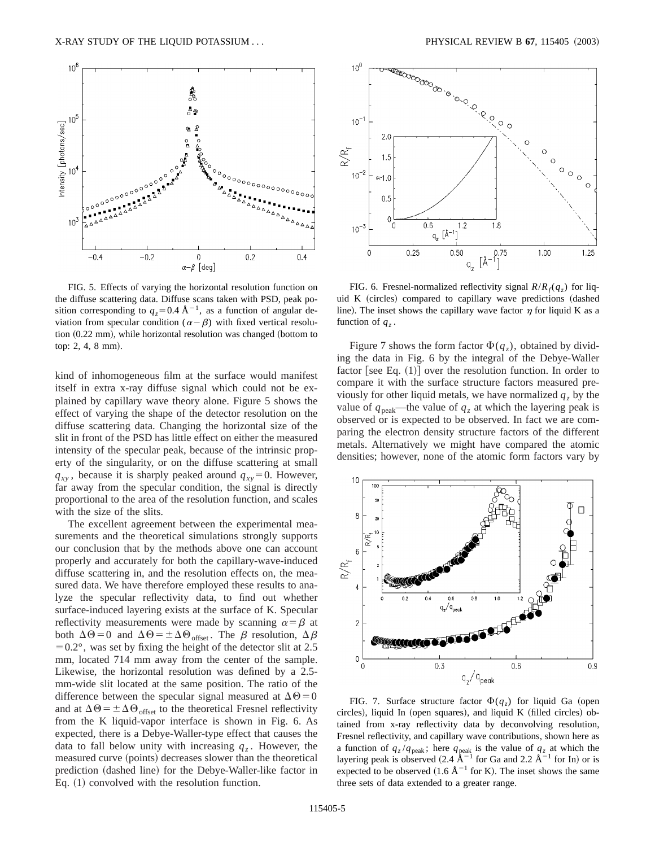

FIG. 5. Effects of varying the horizontal resolution function on the diffuse scattering data. Diffuse scans taken with PSD, peak position corresponding to  $q_z=0.4 \text{ Å}^{-1}$ , as a function of angular deviation from specular condition ( $\alpha - \beta$ ) with fixed vertical resolution  $(0.22$  mm), while horizontal resolution was changed (bottom to top: 2, 4, 8 mm).

kind of inhomogeneous film at the surface would manifest itself in extra x-ray diffuse signal which could not be explained by capillary wave theory alone. Figure 5 shows the effect of varying the shape of the detector resolution on the diffuse scattering data. Changing the horizontal size of the slit in front of the PSD has little effect on either the measured intensity of the specular peak, because of the intrinsic property of the singularity, or on the diffuse scattering at small  $q_{xy}$ , because it is sharply peaked around  $q_{xy} = 0$ . However, far away from the specular condition, the signal is directly proportional to the area of the resolution function, and scales with the size of the slits.

The excellent agreement between the experimental measurements and the theoretical simulations strongly supports our conclusion that by the methods above one can account properly and accurately for both the capillary-wave-induced diffuse scattering in, and the resolution effects on, the measured data. We have therefore employed these results to analyze the specular reflectivity data, to find out whether surface-induced layering exists at the surface of K. Specular reflectivity measurements were made by scanning  $\alpha = \beta$  at both  $\Delta\Theta = 0$  and  $\Delta\Theta = \pm \Delta\Theta_{offset}$ . The  $\beta$  resolution,  $\Delta\beta$  $=0.2^{\circ}$ , was set by fixing the height of the detector slit at 2.5 mm, located 714 mm away from the center of the sample. Likewise, the horizontal resolution was defined by a 2.5 mm-wide slit located at the same position. The ratio of the difference between the specular signal measured at  $\Delta\Theta=0$ and at  $\Delta\Theta = \pm \Delta\Theta_{\text{offset}}$  to the theoretical Fresnel reflectivity from the K liquid-vapor interface is shown in Fig. 6. As expected, there is a Debye-Waller-type effect that causes the data to fall below unity with increasing  $q<sub>z</sub>$ . However, the measured curve (points) decreases slower than the theoretical prediction (dashed line) for the Debye-Waller-like factor in Eq.  $(1)$  convolved with the resolution function.



FIG. 6. Fresnel-normalized reflectivity signal  $R/R_f(q_z)$  for liquid K (circles) compared to capillary wave predictions (dashed line). The inset shows the capillary wave factor  $\eta$  for liquid K as a function of  $q_z$ .

Figure 7 shows the form factor  $\Phi(q_z)$ , obtained by dividing the data in Fig. 6 by the integral of the Debye-Waller factor [see Eq.  $(1)$ ] over the resolution function. In order to compare it with the surface structure factors measured previously for other liquid metals, we have normalized  $q_z$  by the value of  $q_{peak}$ —the value of  $q_z$  at which the layering peak is observed or is expected to be observed. In fact we are comparing the electron density structure factors of the different metals. Alternatively we might have compared the atomic densities; however, none of the atomic form factors vary by



FIG. 7. Surface structure factor  $\Phi(q_z)$  for liquid Ga (open circles), liquid In (open squares), and liquid K (filled circles) obtained from x-ray reflectivity data by deconvolving resolution, Fresnel reflectivity, and capillary wave contributions, shown here as a function of  $q_z/q_{\text{peak}}$ ; here  $q_{\text{peak}}$  is the value of  $q_z$  at which the layering peak is observed (2.4  $\rm \AA^{-1}$  for Ga and 2.2  $\rm \AA^{-1}$  for In) or is expected to be observed  $(1.6 \text{ Å}^{-1}$  for K). The inset shows the same three sets of data extended to a greater range.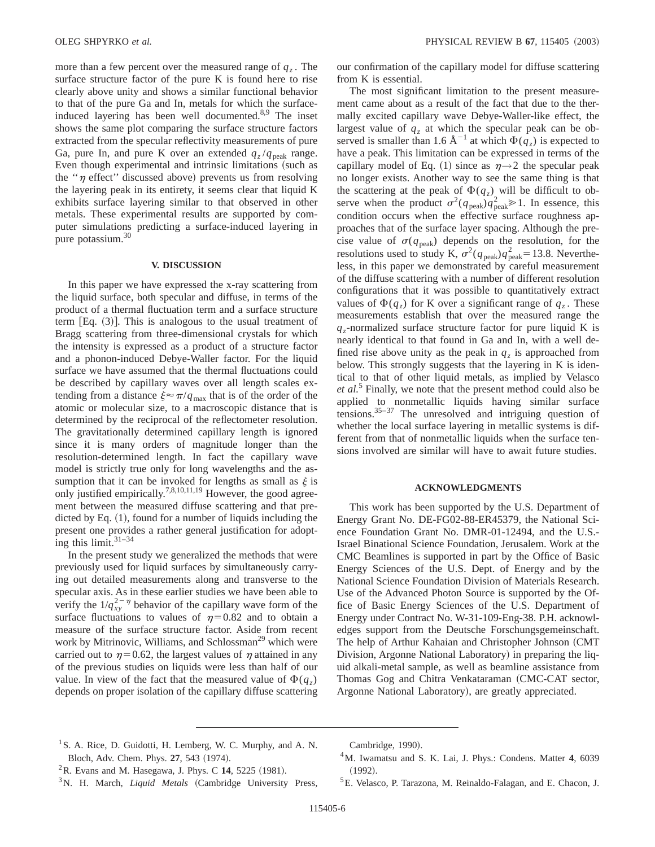more than a few percent over the measured range of  $q<sub>z</sub>$ . The surface structure factor of the pure K is found here to rise clearly above unity and shows a similar functional behavior to that of the pure Ga and In, metals for which the surfaceinduced layering has been well documented.<sup>8,9</sup> The inset shows the same plot comparing the surface structure factors extracted from the specular reflectivity measurements of pure Ga, pure In, and pure K over an extended  $q_z/q_{\text{peak}}$  range. Even though experimental and intrinsic limitations (such as the " $\eta$  effect" discussed above) prevents us from resolving the layering peak in its entirety, it seems clear that liquid K exhibits surface layering similar to that observed in other metals. These experimental results are supported by computer simulations predicting a surface-induced layering in pure potassium.<sup>30</sup>

### **V. DISCUSSION**

In this paper we have expressed the x-ray scattering from the liquid surface, both specular and diffuse, in terms of the product of a thermal fluctuation term and a surface structure term  $[Eq. (3)]$ . This is analogous to the usual treatment of Bragg scattering from three-dimensional crystals for which the intensity is expressed as a product of a structure factor and a phonon-induced Debye-Waller factor. For the liquid surface we have assumed that the thermal fluctuations could be described by capillary waves over all length scales extending from a distance  $\xi \approx \pi/q_{\text{max}}$  that is of the order of the atomic or molecular size, to a macroscopic distance that is determined by the reciprocal of the reflectometer resolution. The gravitationally determined capillary length is ignored since it is many orders of magnitude longer than the resolution-determined length. In fact the capillary wave model is strictly true only for long wavelengths and the assumption that it can be invoked for lengths as small as  $\xi$  is only justified empirically.<sup>7,8,10,11,19</sup> However, the good agreement between the measured diffuse scattering and that predicted by Eq.  $(1)$ , found for a number of liquids including the present one provides a rather general justification for adopting this limit. $31-34$ 

In the present study we generalized the methods that were previously used for liquid surfaces by simultaneously carrying out detailed measurements along and transverse to the specular axis. As in these earlier studies we have been able to verify the  $1/q_{xy}^{2-\eta}$  behavior of the capillary wave form of the surface fluctuations to values of  $\eta=0.82$  and to obtain a measure of the surface structure factor. Aside from recent work by Mitrinovic, Williams, and Schlossman<sup>29</sup> which were carried out to  $\eta=0.62$ , the largest values of  $\eta$  attained in any of the previous studies on liquids were less than half of our value. In view of the fact that the measured value of  $\Phi(q_z)$ depends on proper isolation of the capillary diffuse scattering our confirmation of the capillary model for diffuse scattering from K is essential.

The most significant limitation to the present measurement came about as a result of the fact that due to the thermally excited capillary wave Debye-Waller-like effect, the largest value of  $q<sub>z</sub>$  at which the specular peak can be observed is smaller than 1.6  $A^{-1}$  at which  $\Phi(q_z)$  is expected to have a peak. This limitation can be expressed in terms of the capillary model of Eq. (1) since as  $\eta \rightarrow 2$  the specular peak no longer exists. Another way to see the same thing is that the scattering at the peak of  $\Phi(q_z)$  will be difficult to observe when the product  $\sigma^2(q_{\text{peak}})q_{\text{peak}}^2 \gg 1$ . In essence, this condition occurs when the effective surface roughness approaches that of the surface layer spacing. Although the precise value of  $\sigma(q_{peak})$  depends on the resolution, for the resolutions used to study K,  $\sigma^2(q_{\text{peak}})q_{\text{peak}}^2$  = 13.8. Nevertheless, in this paper we demonstrated by careful measurement of the diffuse scattering with a number of different resolution configurations that it was possible to quantitatively extract values of  $\Phi(q_z)$  for K over a significant range of  $q_z$ . These measurements establish that over the measured range the  $q_z$ -normalized surface structure factor for pure liquid K is nearly identical to that found in Ga and In, with a well defined rise above unity as the peak in  $q<sub>z</sub>$  is approached from below. This strongly suggests that the layering in K is identical to that of other liquid metals, as implied by Velasco *et al.*<sup>5</sup> Finally, we note that the present method could also be applied to nonmetallic liquids having similar surface tensions.35–37 The unresolved and intriguing question of whether the local surface layering in metallic systems is different from that of nonmetallic liquids when the surface tensions involved are similar will have to await future studies.

#### **ACKNOWLEDGMENTS**

This work has been supported by the U.S. Department of Energy Grant No. DE-FG02-88-ER45379, the National Science Foundation Grant No. DMR-01-12494, and the U.S.- Israel Binational Science Foundation, Jerusalem. Work at the CMC Beamlines is supported in part by the Office of Basic Energy Sciences of the U.S. Dept. of Energy and by the National Science Foundation Division of Materials Research. Use of the Advanced Photon Source is supported by the Office of Basic Energy Sciences of the U.S. Department of Energy under Contract No. W-31-109-Eng-38. P.H. acknowledges support from the Deutsche Forschungsgemeinschaft. The help of Arthur Kahaian and Christopher Johnson (CMT) Division, Argonne National Laboratory) in preparing the liquid alkali-metal sample, as well as beamline assistance from Thomas Gog and Chitra Venkataraman (CMC-CAT sector, Argonne National Laboratory), are greatly appreciated.

Cambridge, 1990).

5E. Velasco, P. Tarazona, M. Reinaldo-Falagan, and E. Chacon, J.

<sup>&</sup>lt;sup>1</sup> S. A. Rice, D. Guidotti, H. Lemberg, W. C. Murphy, and A. N. Bloch, Adv. Chem. Phys. **27**, 543 (1974).

 ${}^{2}$ R. Evans and M. Hasegawa, J. Phys. C 14, 5225 (1981).

<sup>&</sup>lt;sup>3</sup>N. H. March, *Liquid Metals* (Cambridge University Press,

<sup>4</sup>M. Iwamatsu and S. K. Lai, J. Phys.: Condens. Matter **4**, 6039  $(1992).$